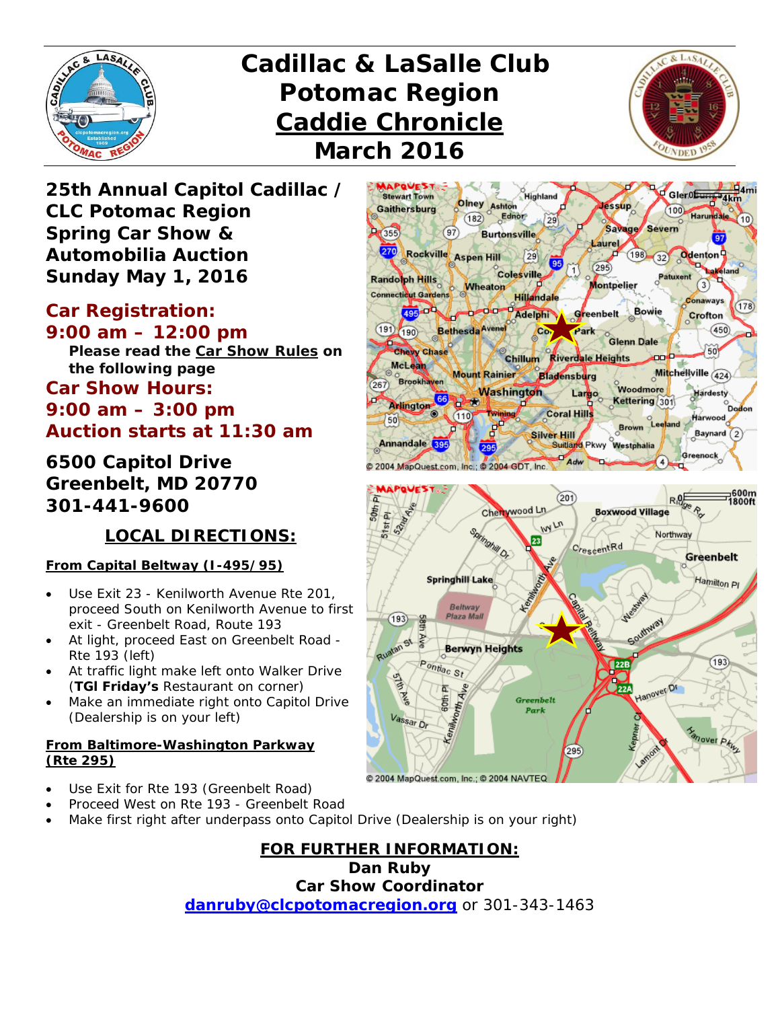

# *Cadillac & LaSalle Club Potomac Region Caddie Chronicle March 2016*



*25th Annual Capitol Cadillac / CLC Potomac Region Spring Car Show & Automobilia Auction Sunday May 1, 2016* 

## *Car Registration:*

*9:00 am – 12:00 pm Please read the Car Show Rules on the following page Car Show Hours: 9:00 am – 3:00 pm Auction starts at 11:30 am* 

*6500 Capitol Drive Greenbelt, MD 20770 301-441-9600* 

### **LOCAL DIRECTIONS:**

#### **From Capital Beltway (I-495/95)**

- Use Exit 23 Kenilworth Avenue Rte 201, proceed South on Kenilworth Avenue to first exit - Greenbelt Road, Route 193
- At light, proceed East on Greenbelt Road Rte 193 (left)
- At traffic light make left onto Walker Drive (*TGl Friday's* Restaurant on corner)
- Make an immediate right onto Capitol Drive (Dealership is on your left)

#### **From Baltimore-Washington Parkway (Rte 295)**



@ 2004 MapQuest.com, Inc.; @ 2004 NAVTEO

- Use Exit for Rte 193 (Greenbelt Road)
- Proceed West on Rte 193 Greenbelt Road
- Make first right after underpass onto Capitol Drive (Dealership is on your right)

**FOR FURTHER INFORMATION: Dan Ruby Car Show Coordinator danruby@clcpotomacregion.org** or 301-343-1463